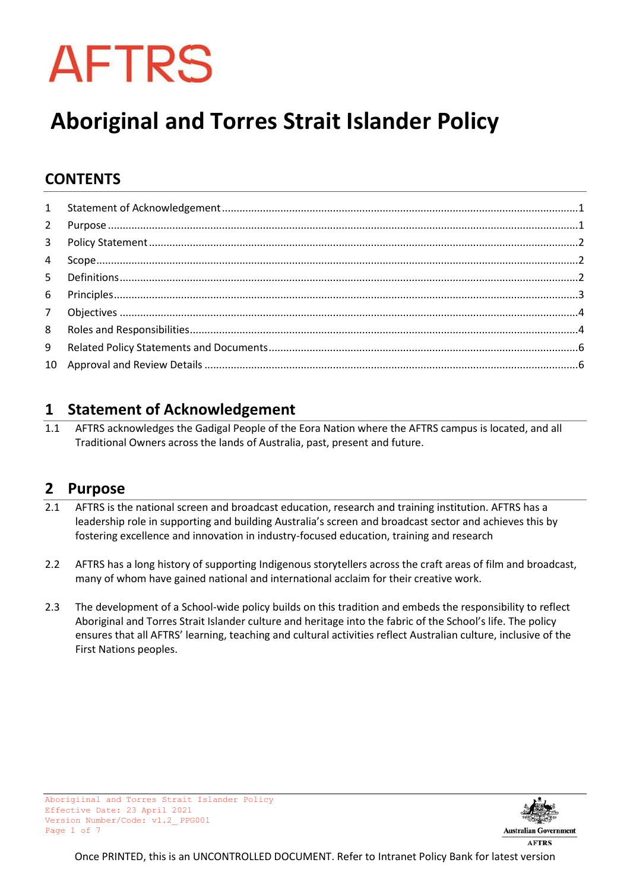# **AFTRS**

## **Aboriginal and Torres Strait Islander Policy**

## **CONTENTS**

## <span id="page-0-0"></span>**1 Statement of Acknowledgement**

1.1 AFTRS acknowledges the Gadigal People of the Eora Nation where the AFTRS campus is located, and all Traditional Owners across the lands of Australia, past, present and future.

## <span id="page-0-1"></span>**2 Purpose**

- 2.1 AFTRS is the national screen and broadcast education, research and training institution. AFTRS has a leadership role in supporting and building Australia's screen and broadcast sector and achieves this by fostering excellence and innovation in industry-focused education, training and research
- 2.2 AFTRS has a long history of supporting Indigenous storytellers across the craft areas of film and broadcast, many of whom have gained national and international acclaim for their creative work.
- 2.3 The development of a School-wide policy builds on this tradition and embeds the responsibility to reflect Aboriginal and Torres Strait Islander culture and heritage into the fabric of the School's life. The policy ensures that all AFTRS' learning, teaching and cultural activities reflect Australian culture, inclusive of the First Nations peoples.

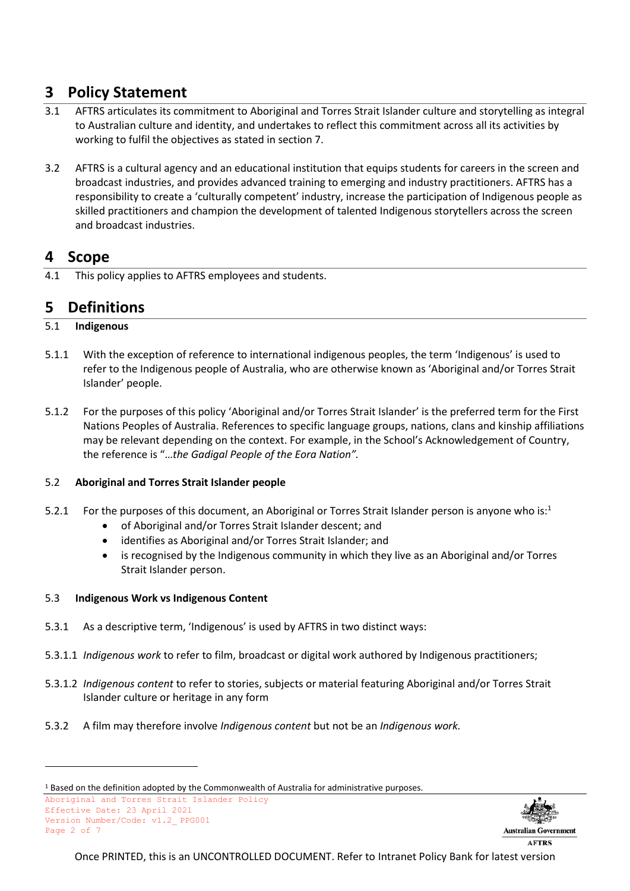## <span id="page-1-0"></span>**3 Policy Statement**

- 3.1 AFTRS articulates its commitment to Aboriginal and Torres Strait Islander culture and storytelling as integral to Australian culture and identity, and undertakes to reflect this commitment across all its activities by working to fulfil the objectives as stated in section 7.
- 3.2 AFTRS is a cultural agency and an educational institution that equips students for careers in the screen and broadcast industries, and provides advanced training to emerging and industry practitioners. AFTRS has a responsibility to create a 'culturally competent' industry, increase the participation of Indigenous people as skilled practitioners and champion the development of talented Indigenous storytellers across the screen and broadcast industries.

## <span id="page-1-1"></span>**4 Scope**

4.1 This policy applies to AFTRS employees and students.

## <span id="page-1-2"></span>**5 Definitions**

#### 5.1 **Indigenous**

- 5.1.1 With the exception of reference to international indigenous peoples, the term 'Indigenous' is used to refer to the Indigenous people of Australia, who are otherwise known as 'Aboriginal and/or Torres Strait Islander' people.
- 5.1.2 For the purposes of this policy 'Aboriginal and/or Torres Strait Islander' is the preferred term for the First Nations Peoples of Australia. References to specific language groups, nations, clans and kinship affiliations may be relevant depending on the context. For example, in the School's Acknowledgement of Country, the reference is "…*the Gadigal People of the Eora Nation".*

#### 5.2 **Aboriginal and Torres Strait Islander people**

- 5.2.1 For the purposes of this document, an Aboriginal or Torres Strait Islander person is anyone who is:<sup>1</sup>
	- of Aboriginal and/or Torres Strait Islander descent; and
	- identifies as Aboriginal and/or Torres Strait Islander; and
	- is recognised by the Indigenous community in which they live as an Aboriginal and/or Torres Strait Islander person.

#### 5.3 **Indigenous Work vs Indigenous Content**

- 5.3.1 As a descriptive term, 'Indigenous' is used by AFTRS in two distinct ways:
- 5.3.1.1 *Indigenous work* to refer to film, broadcast or digital work authored by Indigenous practitioners;
- 5.3.1.2 *Indigenous content* to refer to stories, subjects or material featuring Aboriginal and/or Torres Strait Islander culture or heritage in any form
- 5.3.2 A film may therefore involve *Indigenous content* but not be an *Indigenous work.*

Aboriginal and Torres Strait Islander Policy Effective Date: 23 April 2021 Version Number/Code: v1.2\_ PPG001 Page 2 of 7



<sup>1</sup> Based on the definition adopted by the Commonwealth of Australia for administrative purposes.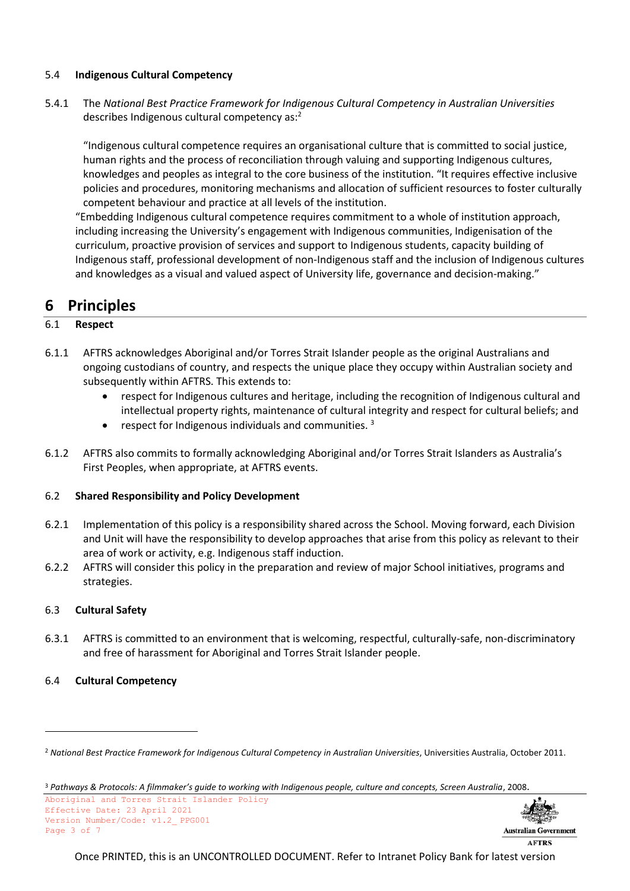#### 5.4 **Indigenous Cultural Competency**

5.4.1 The *National Best Practice Framework for Indigenous Cultural Competency in Australian Universities* describes Indigenous cultural competency as:<sup>2</sup>

"Indigenous cultural competence requires an organisational culture that is committed to social justice, human rights and the process of reconciliation through valuing and supporting Indigenous cultures, knowledges and peoples as integral to the core business of the institution. "It requires effective inclusive policies and procedures, monitoring mechanisms and allocation of sufficient resources to foster culturally competent behaviour and practice at all levels of the institution.

"Embedding Indigenous cultural competence requires commitment to a whole of institution approach, including increasing the University's engagement with Indigenous communities, Indigenisation of the curriculum, proactive provision of services and support to Indigenous students, capacity building of Indigenous staff, professional development of non-Indigenous staff and the inclusion of Indigenous cultures and knowledges as a visual and valued aspect of University life, governance and decision-making."

## <span id="page-2-0"></span>**6 Principles**

#### 6.1 **Respect**

- 6.1.1 AFTRS acknowledges Aboriginal and/or Torres Strait Islander people as the original Australians and ongoing custodians of country, and respects the unique place they occupy within Australian society and subsequently within AFTRS. This extends to:
	- respect for Indigenous cultures and heritage, including the recognition of Indigenous cultural and intellectual property rights, maintenance of cultural integrity and respect for cultural beliefs; and
	- respect for Indigenous individuals and communities.  $3$
- 6.1.2 AFTRS also commits to formally acknowledging Aboriginal and/or Torres Strait Islanders as Australia's First Peoples, when appropriate, at AFTRS events.

#### 6.2 **Shared Responsibility and Policy Development**

- 6.2.1 Implementation of this policy is a responsibility shared across the School. Moving forward, each Division and Unit will have the responsibility to develop approaches that arise from this policy as relevant to their area of work or activity, e.g. Indigenous staff induction.
- 6.2.2 AFTRS will consider this policy in the preparation and review of major School initiatives, programs and strategies.

#### 6.3 **Cultural Safety**

6.3.1 AFTRS is committed to an environment that is welcoming, respectful, culturally-safe, non-discriminatory and free of harassment for Aboriginal and Torres Strait Islander people.

#### 6.4 **Cultural Competency**

Aboriginal and Torres Strait Islander Policy Effective Date: 23 April 2021 Version Number/Code: v1.2\_ PPG001 Page 3 of 7



**AFTRS** 

<sup>2</sup> *National Best Practice Framework for Indigenous Cultural Competency in Australian Universities*, Universities Australia, October 2011.

<sup>3</sup> *Pathways & Protocols: A filmmaker's guide to working with Indigenous people, culture and concepts, Screen Australia*, 2008.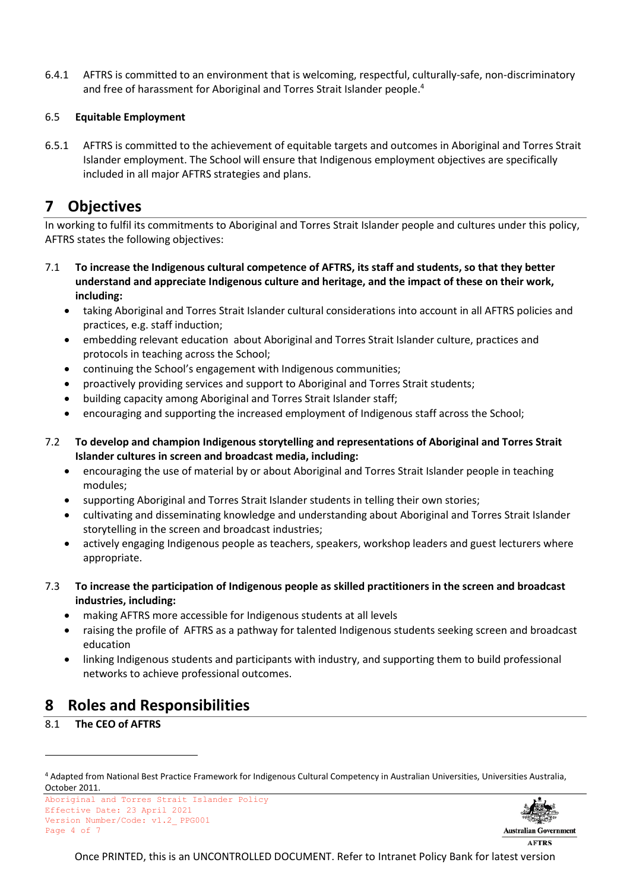6.4.1 AFTRS is committed to an environment that is welcoming, respectful, culturally-safe, non-discriminatory and free of harassment for Aboriginal and Torres Strait Islander people.<sup>4</sup>

#### 6.5 **Equitable Employment**

6.5.1 AFTRS is committed to the achievement of equitable targets and outcomes in Aboriginal and Torres Strait Islander employment. The School will ensure that Indigenous employment objectives are specifically included in all major AFTRS strategies and plans.

## <span id="page-3-0"></span>**7 Objectives**

In working to fulfil its commitments to Aboriginal and Torres Strait Islander people and cultures under this policy, AFTRS states the following objectives:

- 7.1 **To increase the Indigenous cultural competence of AFTRS, its staff and students, so that they better understand and appreciate Indigenous culture and heritage, and the impact of these on their work, including:**
	- taking Aboriginal and Torres Strait Islander cultural considerations into account in all AFTRS policies and practices, e.g. staff induction;
	- embedding relevant education about Aboriginal and Torres Strait Islander culture, practices and protocols in teaching across the School;
	- continuing the School's engagement with Indigenous communities;
	- proactively providing services and support to Aboriginal and Torres Strait students;
	- building capacity among Aboriginal and Torres Strait Islander staff;
	- encouraging and supporting the increased employment of Indigenous staff across the School;
- 7.2 **To develop and champion Indigenous storytelling and representations of Aboriginal and Torres Strait Islander cultures in screen and broadcast media, including:**
	- encouraging the use of material by or about Aboriginal and Torres Strait Islander people in teaching modules;
	- supporting Aboriginal and Torres Strait Islander students in telling their own stories;
	- cultivating and disseminating knowledge and understanding about Aboriginal and Torres Strait Islander storytelling in the screen and broadcast industries;
	- actively engaging Indigenous people as teachers, speakers, workshop leaders and guest lecturers where appropriate.
- 7.3 **To increase the participation of Indigenous people as skilled practitioners in the screen and broadcast industries, including:**
	- making AFTRS more accessible for Indigenous students at all levels
	- raising the profile of AFTRS as a pathway for talented Indigenous students seeking screen and broadcast education
	- linking Indigenous students and participants with industry, and supporting them to build professional networks to achieve professional outcomes.

## <span id="page-3-1"></span>**8 Roles and Responsibilities**

#### 8.1 **The CEO of AFTRS**

Aboriginal and Torres Strait Islander Policy Effective Date: 23 April 2021 Version Number/Code: v1.2\_ PPG001 Page 4 of 7



<sup>4</sup> Adapted from National Best Practice Framework for Indigenous Cultural Competency in Australian Universities, Universities Australia, October 2011.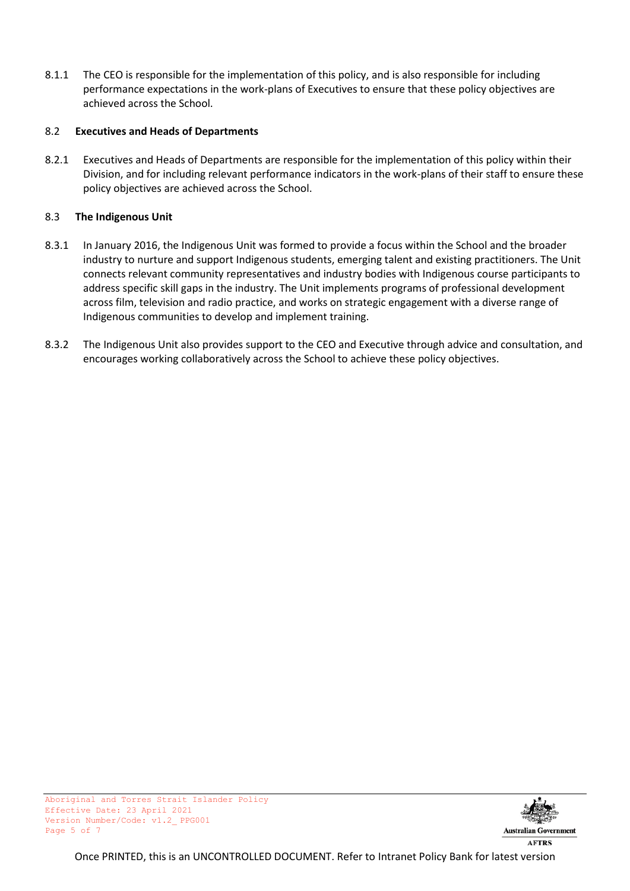8.1.1 The CEO is responsible for the implementation of this policy, and is also responsible for including performance expectations in the work-plans of Executives to ensure that these policy objectives are achieved across the School.

#### 8.2 **Executives and Heads of Departments**

8.2.1 Executives and Heads of Departments are responsible for the implementation of this policy within their Division, and for including relevant performance indicators in the work-plans of their staff to ensure these policy objectives are achieved across the School.

#### 8.3 **The Indigenous Unit**

- 8.3.1 In January 2016, the Indigenous Unit was formed to provide a focus within the School and the broader industry to nurture and support Indigenous students, emerging talent and existing practitioners. The Unit connects relevant community representatives and industry bodies with Indigenous course participants to address specific skill gaps in the industry. The Unit implements programs of professional development across film, television and radio practice, and works on strategic engagement with a diverse range of Indigenous communities to develop and implement training.
- 8.3.2 The Indigenous Unit also provides support to the CEO and Executive through advice and consultation, and encourages working collaboratively across the School to achieve these policy objectives.

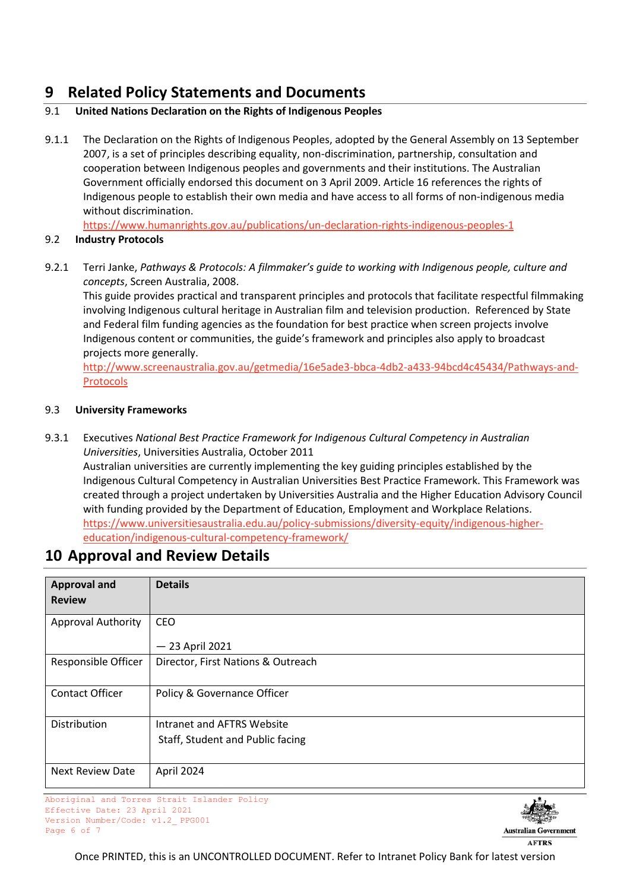## <span id="page-5-0"></span>**9 Related Policy Statements and Documents**

#### 9.1 **United Nations Declaration on the Rights of Indigenous Peoples**

9.1.1 The Declaration on the Rights of Indigenous Peoples, adopted by the General Assembly on 13 September 2007, is a set of principles describing equality, non-discrimination, partnership, consultation and cooperation between Indigenous peoples and governments and their institutions. The Australian Government officially endorsed this document on 3 April 2009. Article 16 references the rights of Indigenous people to establish their own media and have access to all forms of non-indigenous media without discrimination.

<https://www.humanrights.gov.au/publications/un-declaration-rights-indigenous-peoples-1>

#### 9.2 **Industry Protocols**

9.2.1 Terri Janke, *Pathways & Protocols: A filmmaker's guide to working with Indigenous people, culture and concepts*, Screen Australia, 2008.

This guide provides practical and transparent principles and protocols that facilitate respectful filmmaking involving Indigenous cultural heritage in Australian film and television production. Referenced by State and Federal film funding agencies as the foundation for best practice when screen projects involve Indigenous content or communities, the guide's framework and principles also apply to broadcast projects more generally.

[http://www.screenaustralia.gov.au/getmedia/16e5ade3-bbca-4db2-a433-94bcd4c45434/Pathways-and-](http://www.screenaustralia.gov.au/getmedia/16e5ade3-bbca-4db2-a433-94bcd4c45434/Pathways-and-Protocols)[Protocols](http://www.screenaustralia.gov.au/getmedia/16e5ade3-bbca-4db2-a433-94bcd4c45434/Pathways-and-Protocols)

#### 9.3 **University Frameworks**

9.3.1 Executives *National Best Practice Framework for Indigenous Cultural Competency in Australian Universities*, Universities Australia, October 2011

Australian universities are currently implementing the key guiding principles established by the Indigenous Cultural Competency in Australian Universities Best Practice Framework. This Framework was created through a project undertaken by Universities Australia and the Higher Education Advisory Council with funding provided by the Department of Education, Employment and Workplace Relations. [https://www.universitiesaustralia.edu.au/policy-submissions/diversity-equity/indigenous-higher](https://www.universitiesaustralia.edu.au/policy-submissions/diversity-equity/indigenous-higher-education/indigenous-cultural-competency-framework/)[education/indigenous-cultural-competency-framework/](https://www.universitiesaustralia.edu.au/policy-submissions/diversity-equity/indigenous-higher-education/indigenous-cultural-competency-framework/)

### <span id="page-5-1"></span>**10 Approval and Review Details**

| <b>Approval and</b>       | <b>Details</b>                     |
|---------------------------|------------------------------------|
| <b>Review</b>             |                                    |
| <b>Approval Authority</b> | CEO                                |
|                           | $-23$ April 2021                   |
| Responsible Officer       | Director, First Nations & Outreach |
| <b>Contact Officer</b>    | Policy & Governance Officer        |
| Distribution              | Intranet and AFTRS Website         |
|                           | Staff, Student and Public facing   |
| <b>Next Review Date</b>   | April 2024                         |

Aboriginal and Torres Strait Islander Policy Effective Date: 23 April 2021 Version Number/Code: v1.2\_ PPG001 Page 6 of 7